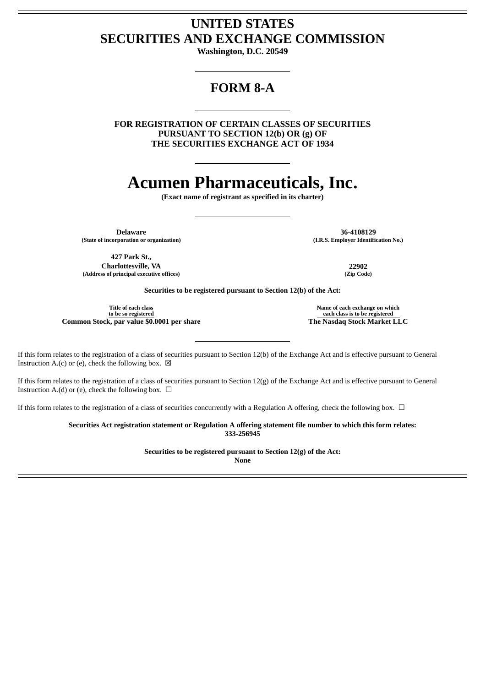## **UNITED STATES SECURITIES AND EXCHANGE COMMISSION**

**Washington, D.C. 20549**

## **FORM 8-A**

**FOR REGISTRATION OF CERTAIN CLASSES OF SECURITIES PURSUANT TO SECTION 12(b) OR (g) OF THE SECURITIES EXCHANGE ACT OF 1934**

# **Acumen Pharmaceuticals, Inc.**

**(Exact name of registrant as specified in its charter)**

**(State of incorporation or organization) (I.R.S. Employer Identification No.)**

**Delaware 36-4108129**

**427 Park St., Charlottesville, VA 22902**  $(A$ ddress of principal executive offices)

**Securities to be registered pursuant to Section 12(b) of the Act:**

**Title of each class to be so registered Common Stock, par value \$0.0001 per share The Nasdaq Stock Market LLC**

**Name of each exchange on which each class is to be registered**

If this form relates to the registration of a class of securities pursuant to Section 12(b) of the Exchange Act and is effective pursuant to General Instruction A.(c) or (e), check the following box.  $\boxtimes$ 

If this form relates to the registration of a class of securities pursuant to Section 12(g) of the Exchange Act and is effective pursuant to General Instruction A.(d) or (e), check the following box.  $\Box$ 

If this form relates to the registration of a class of securities concurrently with a Regulation A offering, check the following box.  $\Box$ 

**Securities Act registration statement or Regulation A offering statement file number to which this form relates: 333-256945**

**Securities to be registered pursuant to Section 12(g) of the Act:**

**None**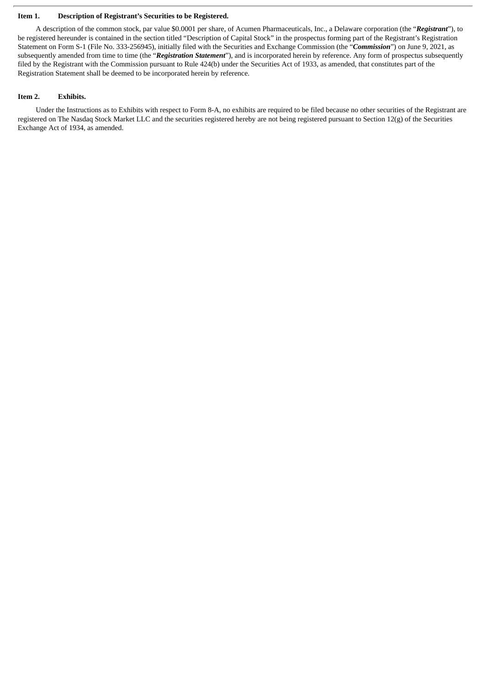#### **Item 1. Description of Registrant's Securities to be Registered.**

A description of the common stock, par value \$0.0001 per share, of Acumen Pharmaceuticals, Inc., a Delaware corporation (the "*Registrant*"), to be registered hereunder is contained in the section titled "Description of Capital Stock" in the prospectus forming part of the Registrant's Registration Statement on Form S-1 (File No. 333-256945), initially filed with the Securities and Exchange Commission (the "*Commission*") on June 9, 2021, as subsequently amended from time to time (the "*Registration Statement*"), and is incorporated herein by reference. Any form of prospectus subsequently filed by the Registrant with the Commission pursuant to Rule 424(b) under the Securities Act of 1933, as amended, that constitutes part of the Registration Statement shall be deemed to be incorporated herein by reference.

#### **Item 2. Exhibits.**

Under the Instructions as to Exhibits with respect to Form 8-A, no exhibits are required to be filed because no other securities of the Registrant are registered on The Nasdaq Stock Market LLC and the securities registered hereby are not being registered pursuant to Section  $12(g)$  of the Securities Exchange Act of 1934, as amended.